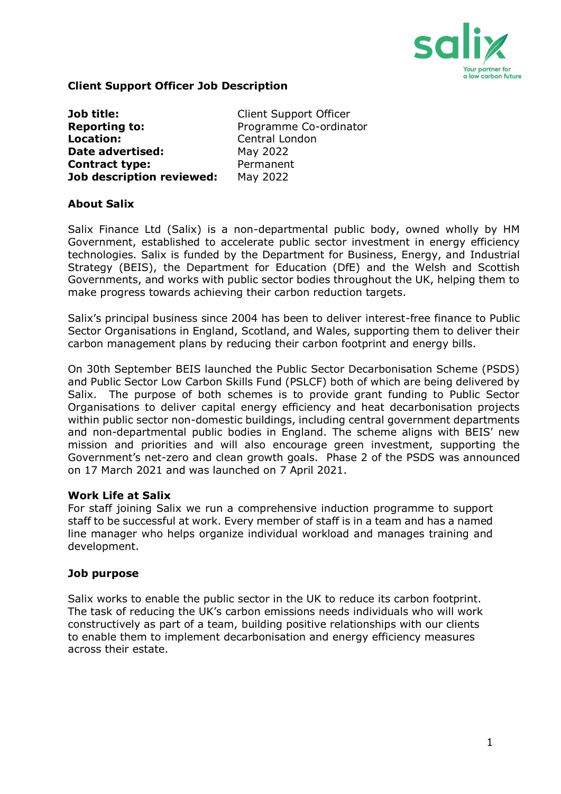

## **Client Support Officer Job Description**

| Job title:                       | <b>Client Support Officer</b> |
|----------------------------------|-------------------------------|
| <b>Reporting to:</b>             | Programme Co-ordinator        |
| <b>Location:</b>                 | Central London                |
| Date advertised:                 | May 2022                      |
| <b>Contract type:</b>            | Permanent                     |
| <b>Job description reviewed:</b> | May 2022                      |

#### **About Salix**

Salix Finance Ltd (Salix) is a non-departmental public body, owned wholly by HM Government, established to accelerate public sector investment in energy efficiency technologies. Salix is funded by the Department for Business, Energy, and Industrial Strategy (BEIS), the Department for Education (DfE) and the Welsh and Scottish Governments, and works with public sector bodies throughout the UK, helping them to make progress towards achieving their carbon reduction targets.

Salix's principal business since 2004 has been to deliver interest-free finance to Public Sector Organisations in England, Scotland, and Wales, supporting them to deliver their carbon management plans by reducing their carbon footprint and energy bills.

On 30th September BEIS launched the Public Sector Decarbonisation Scheme (PSDS) and Public Sector Low Carbon Skills Fund (PSLCF) both of which are being delivered by Salix. The purpose of both schemes is to provide grant funding to Public Sector Organisations to deliver capital energy efficiency and heat decarbonisation projects within public sector non-domestic buildings, including central government departments and non-departmental public bodies in England. The scheme aligns with BEIS' new mission and priorities and will also encourage green investment, supporting the Government's net-zero and clean growth goals. Phase 2 of the PSDS was announced on 17 March 2021 and was launched on 7 April 2021.

#### **Work Life at Salix**

For staff joining Salix we run a comprehensive induction programme to support staff to be successful at work. Every member of staff is in a team and has a named line manager who helps organize individual workload and manages training and development.

#### **Job purpose**

Salix works to enable the public sector in the UK to reduce its carbon footprint. The task of reducing the UK's carbon emissions needs individuals who will work constructively as part of a team, building positive relationships with our clients to enable them to implement decarbonisation and energy efficiency measures across their estate.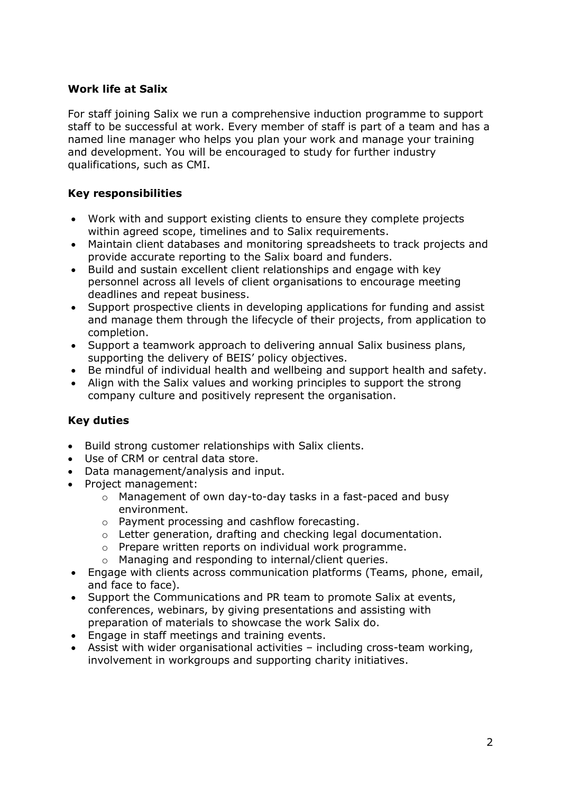## **Work life at Salix**

For staff joining Salix we run a comprehensive induction programme to support staff to be successful at work. Every member of staff is part of a team and has a named line manager who helps you plan your work and manage your training and development. You will be encouraged to study for further industry qualifications, such as CMI.

## **Key responsibilities**

- Work with and support existing clients to ensure they complete projects within agreed scope, timelines and to Salix requirements.
- Maintain client databases and monitoring spreadsheets to track projects and provide accurate reporting to the Salix board and funders.
- Build and sustain excellent client relationships and engage with key personnel across all levels of client organisations to encourage meeting deadlines and repeat business.
- Support prospective clients in developing applications for funding and assist and manage them through the lifecycle of their projects, from application to completion.
- Support a teamwork approach to delivering annual Salix business plans, supporting the delivery of BEIS' policy objectives.
- Be mindful of individual health and wellbeing and support health and safety.
- Align with the Salix values and working principles to support the strong company culture and positively represent the organisation.

## **Key duties**

- Build strong customer relationships with Salix clients.
- Use of CRM or central data store.
- Data management/analysis and input.
- Project management:
	- o Management of own day-to-day tasks in a fast-paced and busy environment.
	- o Payment processing and cashflow forecasting.
	- o Letter generation, drafting and checking legal documentation.
	- o Prepare written reports on individual work programme.
	- o Managing and responding to internal/client queries.
- Engage with clients across communication platforms (Teams, phone, email, and face to face).
- Support the Communications and PR team to promote Salix at events, conferences, webinars, by giving presentations and assisting with preparation of materials to showcase the work Salix do.
- Engage in staff meetings and training events.
- Assist with wider organisational activities including cross-team working, involvement in workgroups and supporting charity initiatives.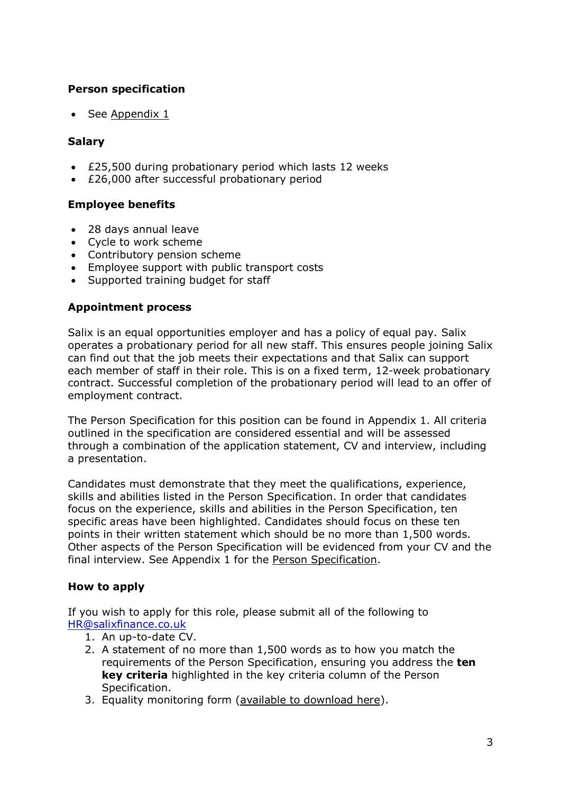## **Person specification**

See [Appendix 1](#page-4-0)

## **Salary**

- £25,500 during probationary period which lasts 12 weeks
- £26,000 after successful probationary period

## **Employee benefits**

- 28 days annual leave
- Cycle to work scheme
- Contributory pension scheme
- Employee support with public transport costs
- Supported training budget for staff

## **Appointment process**

Salix is an equal opportunities employer and has a policy of equal pay. Salix operates a probationary period for all new staff. This ensures people joining Salix can find out that the job meets their expectations and that Salix can support each member of staff in their role. This is on a fixed term, 12-week probationary contract. Successful completion of the probationary period will lead to an offer of employment contract.

The Person Specification for this position can be found in Appendix 1. All criteria outlined in the specification are considered essential and will be assessed through a combination of the application statement, CV and interview, including a presentation.

Candidates must demonstrate that they meet the qualifications, experience, skills and abilities listed in the Person Specification. In order that candidates focus on the experience, skills and abilities in the Person Specification, ten specific areas have been highlighted. Candidates should focus on these ten points in their written statement which should be no more than 1,500 words. Other aspects of the Person Specification will be evidenced from your CV and the final interview. See Appendix 1 for the [Person Specification.](#page-4-0)

## **How to apply**

If you wish to apply for this role, please submit all of the following to [HR@salixfinance.co.uk](mailto:HR@salixfinance.co.uk)

- 1. An up-to-date CV.
- 2. A statement of no more than 1,500 words as to how you match the requirements of the Person Specification, ensuring you address the **ten key criteria** highlighted in the key criteria column of the Person Specification.
- 3. Equality monitoring form [\(available to download here\)](http://salixfinance.co.uk/sites/default/files/equality_monitoring_form_equality_act_compliant_0_2.doc).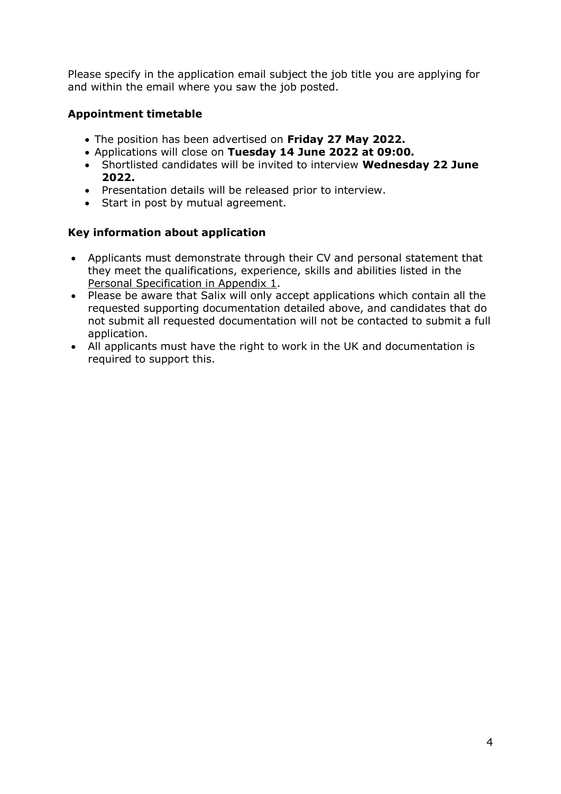Please specify in the application email subject the job title you are applying for and within the email where you saw the job posted.

# **Appointment timetable**

- The position has been advertised on **Friday 27 May 2022.**
- Applications will close on **Tuesday 14 June 2022 at 09:00.**
- Shortlisted candidates will be invited to interview **Wednesday 22 June 2022.**
- Presentation details will be released prior to interview.
- Start in post by mutual agreement.

## **Key information about application**

- Applicants must demonstrate through their CV and personal statement that they meet the qualifications, experience, skills and abilities listed in the [Personal Specification in Appendix 1.](#page-4-0)
- Please be aware that Salix will only accept applications which contain all the requested supporting documentation detailed above, and candidates that do not submit all requested documentation will not be contacted to submit a full application.
- All applicants must have the right to work in the UK and documentation is required to support this.